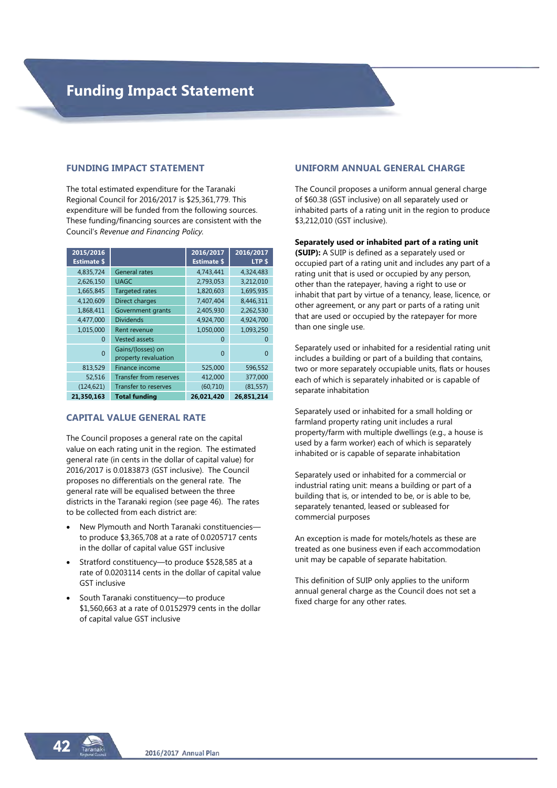#### **FUNDING IMPACT STATEMENT**

The total estimated expenditure for the Taranaki Regional Council for 2016/2017 is \$25,361,779. This expenditure will be funded from the following sources. These funding/financing sources are consistent with the Council's *Revenue and Financing Policy.* 

| 2015/2016<br><b>Estimate \$</b> |                                           | 2016/2017<br><b>Estimate \$</b> | 2016/2017<br>LTP <sub>\$</sub> |
|---------------------------------|-------------------------------------------|---------------------------------|--------------------------------|
| 4,835,724                       | <b>General rates</b>                      | 4,743,441                       | 4,324,483                      |
| 2,626,150                       | <b>UAGC</b>                               | 2,793,053                       | 3,212,010                      |
| 1,665,845                       | <b>Targeted rates</b>                     | 1,820,603                       | 1,695,935                      |
| 4,120,609                       | Direct charges                            | 7,407,404                       | 8,446,311                      |
| 1,868,411                       | Government grants                         | 2,405,930                       | 2,262,530                      |
| 4,477,000                       | <b>Dividends</b>                          | 4,924,700                       | 4,924,700                      |
| 1,015,000                       | Rent revenue                              | 1,050,000                       | 1,093,250                      |
| 0                               | <b>Vested assets</b>                      | $\Omega$                        | $\Omega$                       |
| $\Omega$                        | Gains/(losses) on<br>property revaluation | $\Omega$                        | 0                              |
| 813,529                         | Finance income                            | 525,000                         | 596,552                        |
| 52,516                          | Transfer from reserves                    | 412,000                         | 377,000                        |
| (124, 621)                      | Transfer to reserves                      | (60, 710)                       | (81, 557)                      |
| 21,350,163                      | <b>Total funding</b>                      | 26,021,420                      | 26,851,214                     |

#### **CAPITAL VALUE GENERAL RATE**

The Council proposes a general rate on the capital value on each rating unit in the region. The estimated general rate (in cents in the dollar of capital value) for 2016/2017 is 0.0183873 (GST inclusive). The Council proposes no differentials on the general rate. The general rate will be equalised between the three districts in the Taranaki region (see page 46). The rates to be collected from each district are:

- New Plymouth and North Taranaki constituencies to produce \$3,365,708 at a rate of 0.0205717 cents in the dollar of capital value GST inclusive
- Stratford constituency—to produce \$528,585 at a rate of 0.0203114 cents in the dollar of capital value GST inclusive
- South Taranaki constituency—to produce \$1,560,663 at a rate of 0.0152979 cents in the dollar of capital value GST inclusive

## **UNIFORM ANNUAL GENERAL CHARGE**

The Council proposes a uniform annual general charge of \$60.38 (GST inclusive) on all separately used or inhabited parts of a rating unit in the region to produce \$3,212,010 (GST inclusive).

#### **Separately used or inhabited part of a rating unit**

**(SUIP):** A SUIP is defined as a separately used or occupied part of a rating unit and includes any part of a rating unit that is used or occupied by any person, other than the ratepayer, having a right to use or inhabit that part by virtue of a tenancy, lease, licence, or other agreement, or any part or parts of a rating unit that are used or occupied by the ratepayer for more than one single use.

Separately used or inhabited for a residential rating unit includes a building or part of a building that contains, two or more separately occupiable units, flats or houses each of which is separately inhabited or is capable of separate inhabitation

Separately used or inhabited for a small holding or farmland property rating unit includes a rural property/farm with multiple dwellings (e.g., a house is used by a farm worker) each of which is separately inhabited or is capable of separate inhabitation

Separately used or inhabited for a commercial or industrial rating unit: means a building or part of a building that is, or intended to be, or is able to be, separately tenanted, leased or subleased for commercial purposes

An exception is made for motels/hotels as these are treated as one business even if each accommodation unit may be capable of separate habitation.

This definition of SUIP only applies to the uniform annual general charge as the Council does not set a fixed charge for any other rates.

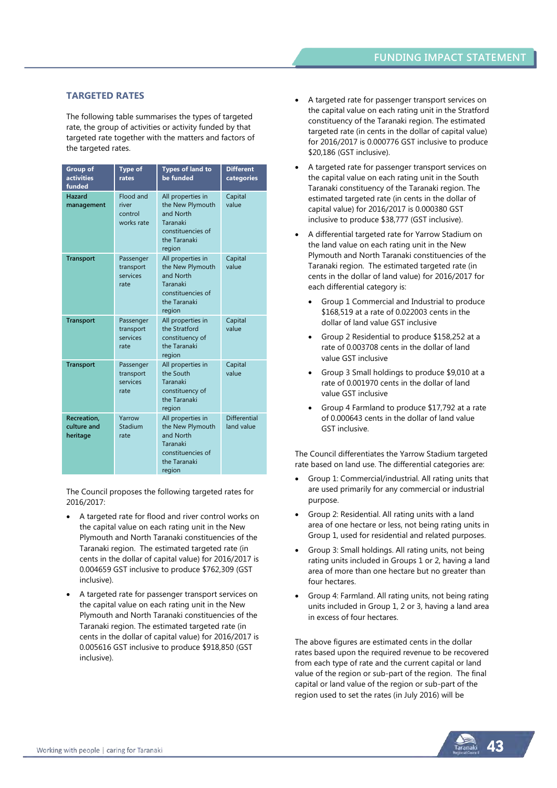#### **TARGETED RATES**

The following table summarises the types of targeted rate, the group of activities or activity funded by that targeted rate together with the matters and factors of the targeted rates.

| <b>Group of</b><br>activities<br>funded | <b>Type of</b><br>rates                     | <b>Types of land to</b><br>be funded                                                                          | <b>Different</b><br>categories    |
|-----------------------------------------|---------------------------------------------|---------------------------------------------------------------------------------------------------------------|-----------------------------------|
| Hazard<br>management                    | Flood and<br>river<br>control<br>works rate | All properties in<br>the New Plymouth<br>and North<br>Taranaki<br>constituencies of<br>the Taranaki<br>region | Capital<br>value                  |
| <b>Transport</b>                        | Passenger<br>transport<br>services<br>rate  | All properties in<br>the New Plymouth<br>and North<br>Taranaki<br>constituencies of<br>the Taranaki<br>region | Capital<br>value                  |
| <b>Transport</b>                        | Passenger<br>transport<br>services<br>rate  | All properties in<br>the Stratford<br>constituency of<br>the Taranaki<br>region                               | Capital<br>value                  |
| <b>Transport</b>                        | Passenger<br>transport<br>services<br>rate  | All properties in<br>the South<br>Taranaki<br>constituency of<br>the Taranaki<br>region                       | Capital<br>value                  |
| Recreation,<br>culture and<br>heritage  | Yarrow<br>Stadium<br>rate                   | All properties in<br>the New Plymouth<br>and North<br>Taranaki<br>constituencies of<br>the Taranaki<br>region | <b>Differential</b><br>land value |

The Council proposes the following targeted rates for 2016/2017:

- A targeted rate for flood and river control works on the capital value on each rating unit in the New Plymouth and North Taranaki constituencies of the Taranaki region. The estimated targeted rate (in cents in the dollar of capital value) for 2016/2017 is 0.004659 GST inclusive to produce \$762,309 (GST inclusive).
- A targeted rate for passenger transport services on the capital value on each rating unit in the New Plymouth and North Taranaki constituencies of the Taranaki region. The estimated targeted rate (in cents in the dollar of capital value) for 2016/2017 is 0.005616 GST inclusive to produce \$918,850 (GST inclusive).
- A targeted rate for passenger transport services on the capital value on each rating unit in the Stratford constituency of the Taranaki region. The estimated targeted rate (in cents in the dollar of capital value) for 2016/2017 is 0.000776 GST inclusive to produce \$20,186 (GST inclusive).
- A targeted rate for passenger transport services on the capital value on each rating unit in the South Taranaki constituency of the Taranaki region. The estimated targeted rate (in cents in the dollar of capital value) for 2016/2017 is 0.000380 GST inclusive to produce \$38,777 (GST inclusive).
- A differential targeted rate for Yarrow Stadium on the land value on each rating unit in the New Plymouth and North Taranaki constituencies of the Taranaki region. The estimated targeted rate (in cents in the dollar of land value) for 2016/2017 for each differential category is:
	- Group 1 Commercial and Industrial to produce \$168,519 at a rate of 0.022003 cents in the dollar of land value GST inclusive
	- Group 2 Residential to produce \$158,252 at a rate of 0.003708 cents in the dollar of land value GST inclusive
	- Group 3 Small holdings to produce \$9,010 at a rate of 0.001970 cents in the dollar of land value GST inclusive
	- Group 4 Farmland to produce \$17,792 at a rate of 0.000643 cents in the dollar of land value GST inclusive.

The Council differentiates the Yarrow Stadium targeted rate based on land use. The differential categories are:

- Group 1: Commercial/industrial. All rating units that are used primarily for any commercial or industrial purpose.
- Group 2: Residential. All rating units with a land area of one hectare or less, not being rating units in Group 1, used for residential and related purposes.
- Group 3: Small holdings. All rating units, not being rating units included in Groups 1 or 2, having a land area of more than one hectare but no greater than four hectares.
- Group 4: Farmland. All rating units, not being rating units included in Group 1, 2 or 3, having a land area in excess of four hectares.

The above figures are estimated cents in the dollar rates based upon the required revenue to be recovered from each type of rate and the current capital or land value of the region or sub-part of the region. The final capital or land value of the region or sub-part of the region used to set the rates (in July 2016) will be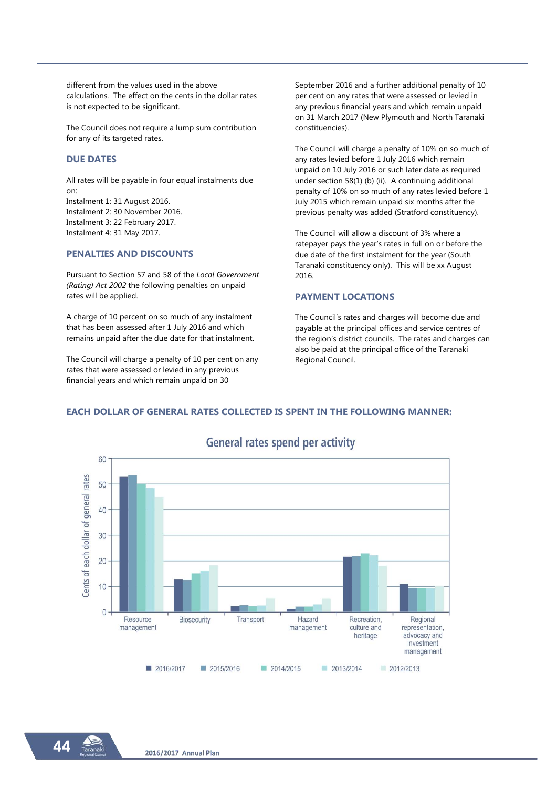different from the values used in the above calculations. The effect on the cents in the dollar rates is not expected to be significant.

The Council does not require a lump sum contribution for any of its targeted rates.

#### **DUE DATES**

All rates will be payable in four equal instalments due on: Instalment 1: 31 August 2016. Instalment 2: 30 November 2016. Instalment 3: 22 February 2017. Instalment 4: 31 May 2017.

#### **PENALTIES AND DISCOUNTS**

Pursuant to Section 57 and 58 of the *Local Government (Rating) Act 2002* the following penalties on unpaid rates will be applied.

A charge of 10 percent on so much of any instalment that has been assessed after 1 July 2016 and which remains unpaid after the due date for that instalment.

The Council will charge a penalty of 10 per cent on any rates that were assessed or levied in any previous financial years and which remain unpaid on 30

September 2016 and a further additional penalty of 10 per cent on any rates that were assessed or levied in any previous financial years and which remain unpaid on 31 March 2017 (New Plymouth and North Taranaki constituencies).

The Council will charge a penalty of 10% on so much of any rates levied before 1 July 2016 which remain unpaid on 10 July 2016 or such later date as required under section 58(1) (b) (ii). A continuing additional penalty of 10% on so much of any rates levied before 1 July 2015 which remain unpaid six months after the previous penalty was added (Stratford constituency).

The Council will allow a discount of 3% where a ratepayer pays the year's rates in full on or before the due date of the first instalment for the year (South Taranaki constituency only). This will be xx August 2016.

#### **PAYMENT LOCATIONS**

The Council's rates and charges will become due and payable at the principal offices and service centres of the region's district councils. The rates and charges can also be paid at the principal office of the Taranaki Regional Council.

## **EACH DOLLAR OF GENERAL RATES COLLECTED IS SPENT IN THE FOLLOWING MANNER:**



# **General rates spend per activity**

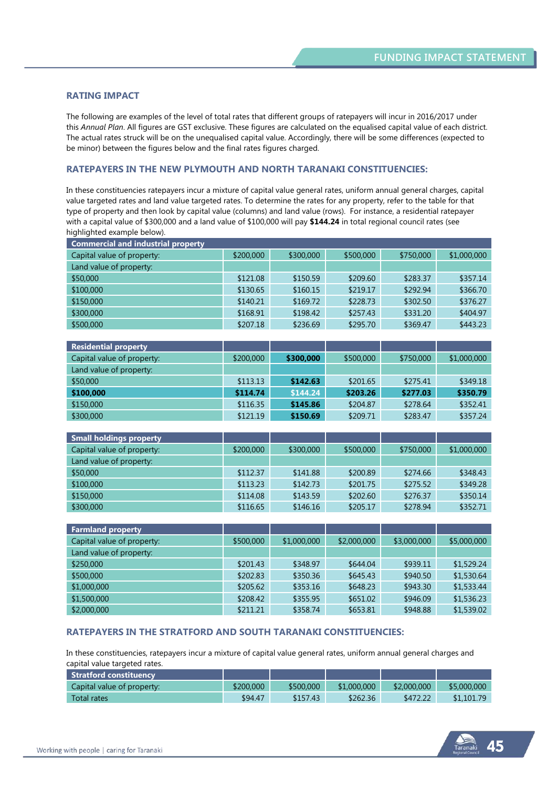#### **RATING IMPACT**

The following are examples of the level of total rates that different groups of ratepayers will incur in 2016/2017 under this *Annual Plan*. All figures are GST exclusive. These figures are calculated on the equalised capital value of each district. The actual rates struck will be on the unequalised capital value. Accordingly, there will be some differences (expected to be minor) between the figures below and the final rates figures charged.

#### **RATEPAYERS IN THE NEW PLYMOUTH AND NORTH TARANAKI CONSTITUENCIES:**

In these constituencies ratepayers incur a mixture of capital value general rates, uniform annual general charges, capital value targeted rates and land value targeted rates. To determine the rates for any property, refer to the table for that type of property and then look by capital value (columns) and land value (rows). For instance, a residential ratepayer with a capital value of \$300,000 and a land value of \$100,000 will pay **\$144.24** in total regional council rates (see highlighted example below).

| <b>Commercial and industrial property</b> |           |           |           |           |             |  |  |
|-------------------------------------------|-----------|-----------|-----------|-----------|-------------|--|--|
| Capital value of property:                | \$200,000 | \$300,000 | \$500,000 | \$750,000 | \$1,000,000 |  |  |
| Land value of property:                   |           |           |           |           |             |  |  |
| \$50,000                                  | \$121.08  | \$150.59  | \$209.60  | \$283.37  | \$357.14    |  |  |
| \$100,000                                 | \$130.65  | \$160.15  | \$219.17  | \$292.94  | \$366.70    |  |  |
| \$150,000                                 | \$140.21  | \$169.72  | \$228.73  | \$302.50  | \$376.27    |  |  |
| \$300,000                                 | \$168.91  | \$198.42  | \$257.43  | \$331.20  | \$404.97    |  |  |
| \$500,000                                 | \$207.18  | \$236.69  | \$295.70  | \$369.47  | \$443.23    |  |  |

| <b>Residential property</b> |           |           |           |           |             |
|-----------------------------|-----------|-----------|-----------|-----------|-------------|
| Capital value of property:  | \$200,000 | \$300,000 | \$500,000 | \$750,000 | \$1,000,000 |
| Land value of property:     |           |           |           |           |             |
| \$50,000                    | \$113.13  | \$142.63  | \$201.65  | \$275.41  | \$349.18    |
| \$100,000                   | \$114.74  | \$144.24  | \$203.26  | \$277.03  | \$350.79    |
| \$150,000                   | \$116.35  | \$145.86  | \$204.87  | \$278.64  | \$352.41    |
| \$300,000                   | \$121.19  | \$150.69  | \$209.71  | \$283.47  | \$357.24    |

| <b>Small holdings property</b> |           |           |           |           |             |
|--------------------------------|-----------|-----------|-----------|-----------|-------------|
| Capital value of property:     | \$200,000 | \$300,000 | \$500,000 | \$750,000 | \$1,000,000 |
| Land value of property:        |           |           |           |           |             |
| \$50,000                       | \$112.37  | \$141.88  | \$200.89  | \$274.66  | \$348.43    |
| \$100,000                      | \$113.23  | \$142.73  | \$201.75  | \$275.52  | \$349.28    |
| \$150,000                      | \$114.08  | \$143.59  | \$202.60  | \$276.37  | \$350.14    |
| \$300,000                      | \$116.65  | \$146.16  | \$205.17  | \$278.94  | \$352.71    |

| <b>Farmland property</b>   |           |             |             |             |             |
|----------------------------|-----------|-------------|-------------|-------------|-------------|
| Capital value of property: | \$500,000 | \$1,000,000 | \$2,000,000 | \$3,000,000 | \$5,000,000 |
| Land value of property:    |           |             |             |             |             |
| \$250,000                  | \$201.43  | \$348.97    | \$644.04    | \$939.11    | \$1,529.24  |
| \$500,000                  | \$202.83  | \$350.36    | \$645.43    | \$940.50    | \$1,530.64  |
| \$1,000,000                | \$205.62  | \$353.16    | \$648.23    | \$943.30    | \$1,533.44  |
| \$1,500,000                | \$208.42  | \$355.95    | \$651.02    | \$946.09    | \$1,536.23  |
| \$2,000,000                | \$211.21  | \$358.74    | \$653.81    | \$948.88    | \$1,539.02  |

#### **RATEPAYERS IN THE STRATFORD AND SOUTH TARANAKI CONSTITUENCIES:**

In these constituencies, ratepayers incur a mixture of capital value general rates, uniform annual general charges and capital value targeted rates.

| Stratford constituency     |           |           |             |             |             |
|----------------------------|-----------|-----------|-------------|-------------|-------------|
| Capital value of property: | \$200,000 | \$500,000 | \$1,000,000 | \$2,000,000 | \$5,000,000 |
| <b>Total rates</b>         | \$94.47   | \$157.43  | \$262.36    | \$472.22    | \$1,101.79  |

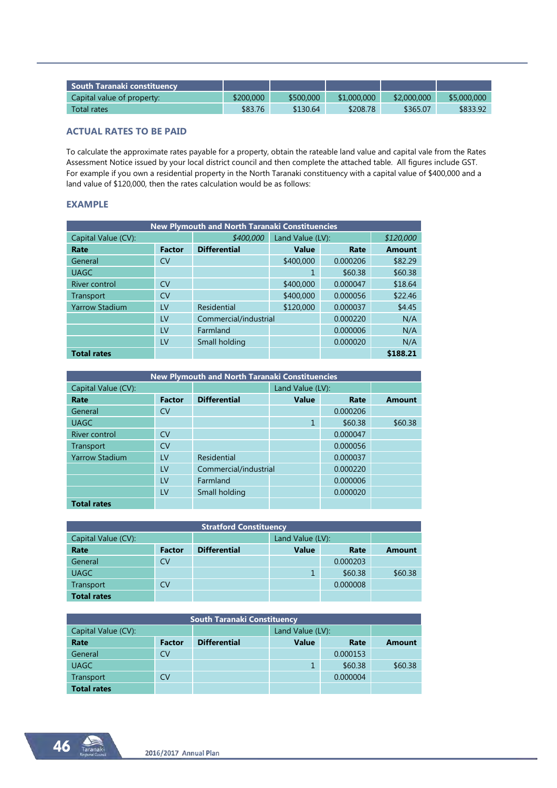| $\blacksquare$ South Taranaki constituency i |           |           |             |             |             |
|----------------------------------------------|-----------|-----------|-------------|-------------|-------------|
| Capital value of property:                   | \$200,000 | \$500,000 | \$1,000,000 | \$2,000,000 | \$5,000,000 |
| Total rates                                  | \$83.76   | \$130.64  | \$208.78    | \$365.07    | \$833.92    |

## **ACTUAL RATES TO BE PAID**

To calculate the approximate rates payable for a property, obtain the rateable land value and capital vale from the Rates Assessment Notice issued by your local district council and then complete the attached table. All figures include GST. For example if you own a residential property in the North Taranaki constituency with a capital value of \$400,000 and a land value of \$120,000, then the rates calculation would be as follows:

#### **EXAMPLE**

| New Plymouth and North Taranaki Constituencies |               |                       |              |                  |               |  |  |  |
|------------------------------------------------|---------------|-----------------------|--------------|------------------|---------------|--|--|--|
| Capital Value (CV):                            |               | \$400,000             |              | Land Value (LV): |               |  |  |  |
| Rate                                           | <b>Factor</b> | <b>Differential</b>   | <b>Value</b> | Rate             | <b>Amount</b> |  |  |  |
| General                                        | CV            |                       | \$400,000    | 0.000206         | \$82.29       |  |  |  |
| <b>UAGC</b>                                    |               |                       | 1            | \$60.38          | \$60.38       |  |  |  |
| <b>River control</b>                           | CV            |                       | \$400,000    | 0.000047         | \$18.64       |  |  |  |
| Transport                                      | <b>CV</b>     |                       | \$400,000    | 0.000056         | \$22.46       |  |  |  |
| <b>Yarrow Stadium</b>                          | LV            | Residential           | \$120,000    | 0.000037         | \$4.45        |  |  |  |
|                                                | LV            | Commercial/industrial |              | 0.000220         | N/A           |  |  |  |
|                                                | LV            | Farmland              |              | 0.000006         | N/A           |  |  |  |
|                                                | LV            | Small holding         |              | 0.000020         | N/A           |  |  |  |
| <b>Total rates</b>                             |               |                       |              |                  | \$188.21      |  |  |  |

| <b>New Plymouth and North Taranaki Constituencies</b> |               |                     |                       |          |               |  |  |  |
|-------------------------------------------------------|---------------|---------------------|-----------------------|----------|---------------|--|--|--|
| Capital Value (CV):                                   |               |                     | Land Value (LV):      |          |               |  |  |  |
| Rate                                                  | <b>Factor</b> | <b>Differential</b> | <b>Value</b>          | Rate     | <b>Amount</b> |  |  |  |
| General                                               | <b>CV</b>     |                     |                       | 0.000206 |               |  |  |  |
| <b>UAGC</b>                                           |               |                     | 1                     | \$60.38  | \$60.38       |  |  |  |
| River control                                         | CV            |                     |                       | 0.000047 |               |  |  |  |
| Transport                                             | <b>CV</b>     |                     |                       | 0.000056 |               |  |  |  |
| <b>Yarrow Stadium</b>                                 | LV            | Residential         |                       | 0.000037 |               |  |  |  |
|                                                       | LV            |                     | Commercial/industrial |          |               |  |  |  |
|                                                       | LV            | Farmland            |                       | 0.000006 |               |  |  |  |
|                                                       | LV            | Small holding       |                       | 0.000020 |               |  |  |  |
| <b>Total rates</b>                                    |               |                     |                       |          |               |  |  |  |

| <b>Stratford Constituency</b> |               |                     |              |                  |               |  |  |  |
|-------------------------------|---------------|---------------------|--------------|------------------|---------------|--|--|--|
| Capital Value (CV):           |               |                     |              | Land Value (LV): |               |  |  |  |
| Rate                          | <b>Factor</b> | <b>Differential</b> | <b>Value</b> | Rate             | <b>Amount</b> |  |  |  |
| General                       | CV            |                     |              | 0.000203         |               |  |  |  |
| <b>UAGC</b>                   |               |                     |              | \$60.38          | \$60.38       |  |  |  |
| Transport                     | CV            |                     |              | 0.000008         |               |  |  |  |
| <b>Total rates</b>            |               |                     |              |                  |               |  |  |  |

| <b>South Taranaki Constituency</b> |               |                     |                  |          |               |  |  |
|------------------------------------|---------------|---------------------|------------------|----------|---------------|--|--|
| Capital Value (CV):                |               |                     | Land Value (LV): |          |               |  |  |
| Rate                               | <b>Factor</b> | <b>Differential</b> | <b>Value</b>     | Rate     | <b>Amount</b> |  |  |
| General                            | CV            |                     |                  | 0.000153 |               |  |  |
| <b>UAGC</b>                        |               |                     |                  | \$60.38  | \$60.38       |  |  |
| Transport                          | CV            |                     |                  | 0.000004 |               |  |  |
| <b>Total rates</b>                 |               |                     |                  |          |               |  |  |

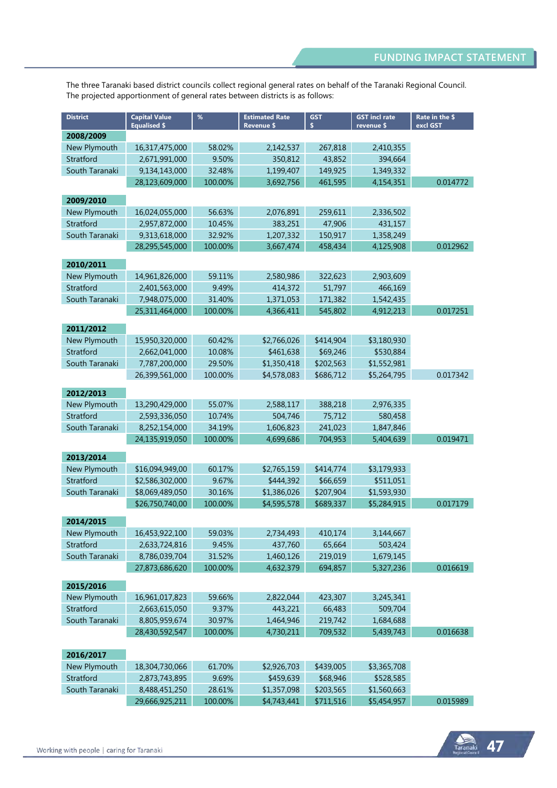The three Taranaki based district councils collect regional general rates on behalf of the Taranaki Regional Council. The projected apportionment of general rates between districts is as follows:

| <b>District</b> | <b>Capital Value</b><br><b>Equalised \$</b> | %       | <b>Estimated Rate</b><br><b>Revenue \$</b> | <b>GST</b><br>\$ | <b>GST incl rate</b><br>revenue \$ | Rate in the \$<br>excl GST |
|-----------------|---------------------------------------------|---------|--------------------------------------------|------------------|------------------------------------|----------------------------|
| 2008/2009       |                                             |         |                                            |                  |                                    |                            |
| New Plymouth    | 16,317,475,000                              | 58.02%  | 2,142,537                                  | 267,818          | 2,410,355                          |                            |
| Stratford       | 2,671,991,000                               | 9.50%   | 350,812                                    | 43,852           | 394,664                            |                            |
| South Taranaki  | 9,134,143,000                               | 32.48%  | 1,199,407                                  | 149,925          | 1,349,332                          |                            |
|                 | 28,123,609,000                              | 100.00% | 3,692,756                                  | 461,595          | 4,154,351                          | 0.014772                   |
| 2009/2010       |                                             |         |                                            |                  |                                    |                            |
| New Plymouth    | 16,024,055,000                              | 56.63%  | 2,076,891                                  | 259,611          | 2,336,502                          |                            |
| Stratford       | 2,957,872,000                               | 10.45%  | 383,251                                    | 47,906           | 431.157                            |                            |
| South Taranaki  | 9,313,618,000                               | 32.92%  | 1,207,332                                  | 150,917          | 1,358,249                          |                            |
|                 | 28,295,545,000                              | 100.00% | 3,667,474                                  | 458,434          | 4,125,908                          | 0.012962                   |
|                 |                                             |         |                                            |                  |                                    |                            |
| 2010/2011       |                                             |         |                                            |                  |                                    |                            |
| New Plymouth    | 14,961,826,000                              | 59.11%  | 2,580,986                                  | 322,623          | 2,903,609                          |                            |
| Stratford       | 2,401,563,000                               | 9.49%   | 414,372                                    | 51,797           | 466,169                            |                            |
| South Taranaki  | 7,948,075,000                               | 31.40%  | 1,371,053                                  | 171,382          | 1,542,435                          |                            |
|                 | 25,311,464,000                              | 100.00% | 4,366,411                                  | 545,802          | 4,912,213                          | 0.017251                   |
| 2011/2012       |                                             |         |                                            |                  |                                    |                            |
| New Plymouth    | 15,950,320,000                              | 60.42%  | \$2,766,026                                | \$414,904        | \$3,180,930                        |                            |
| Stratford       | 2,662,041,000                               | 10.08%  | \$461,638                                  | \$69,246         | \$530,884                          |                            |
| South Taranaki  | 7,787,200,000                               | 29.50%  | \$1,350,418                                | \$202,563        | \$1,552,981                        |                            |
|                 | 26,399,561,000                              | 100.00% | \$4,578,083                                | \$686,712        | \$5,264,795                        | 0.017342                   |
|                 |                                             |         |                                            |                  |                                    |                            |
| 2012/2013       |                                             |         |                                            |                  |                                    |                            |
| New Plymouth    | 13,290,429,000                              | 55.07%  | 2,588,117                                  | 388,218          | 2,976,335                          |                            |
| Stratford       | 2,593,336,050                               | 10.74%  | 504,746                                    | 75,712           | 580,458                            |                            |
| South Taranaki  | 8,252,154,000                               | 34.19%  | 1,606,823                                  | 241,023          | 1,847,846                          |                            |
|                 | 24,135,919,050                              | 100.00% | 4,699,686                                  | 704,953          | 5,404,639                          | 0.019471                   |
| 2013/2014       |                                             |         |                                            |                  |                                    |                            |
| New Plymouth    | \$16,094,949,00                             | 60.17%  | \$2,765,159                                | \$414,774        | \$3,179,933                        |                            |
| Stratford       | \$2,586,302,000                             | 9.67%   | \$444,392                                  | \$66,659         | \$511,051                          |                            |
| South Taranaki  | \$8,069,489,050                             | 30.16%  | \$1,386,026                                | \$207,904        | \$1,593,930                        |                            |
|                 | \$26,750,740,00                             | 100.00% | \$4,595,578                                | \$689,337        | \$5,284,915                        | 0.017179                   |
|                 |                                             |         |                                            |                  |                                    |                            |
| 2014/2015       |                                             |         |                                            |                  |                                    |                            |
| New Plymouth    | 16,453,922,100                              | 59.03%  | 2,734,493                                  | 410,174          | 3,144,667                          |                            |
| Stratford       | 2,633,724,816                               | 9.45%   | 437,760                                    | 65,664           | 503,424                            |                            |
| South Taranaki  | 8,786,039,704                               | 31.52%  | 1,460,126                                  | 219,019          | 1,679,145                          |                            |
|                 | 27,873,686,620                              | 100.00% | 4,632,379                                  | 694,857          | 5,327,236                          | 0.016619                   |
| 2015/2016       |                                             |         |                                            |                  |                                    |                            |
| New Plymouth    | 16,961,017,823                              | 59.66%  | 2,822,044                                  | 423,307          | 3,245,341                          |                            |
| Stratford       | 2,663,615,050                               | 9.37%   | 443,221                                    | 66,483           | 509,704                            |                            |
| South Taranaki  | 8,805,959,674                               | 30.97%  | 1,464,946                                  | 219,742          | 1,684,688                          |                            |
|                 | 28,430,592,547                              | 100.00% | 4,730,211                                  | 709,532          | 5,439,743                          | 0.016638                   |
|                 |                                             |         |                                            |                  |                                    |                            |
| 2016/2017       |                                             |         |                                            |                  |                                    |                            |
| New Plymouth    | 18,304,730,066                              | 61.70%  | \$2,926,703                                | \$439,005        | \$3,365,708                        |                            |
| Stratford       | 2,873,743,895                               | 9.69%   | \$459,639                                  | \$68,946         | \$528,585                          |                            |
| South Taranaki  | 8,488,451,250                               | 28.61%  | \$1,357,098                                | \$203,565        | \$1,560,663                        |                            |
|                 | 29,666,925,211                              | 100.00% | \$4,743,441                                | \$711,516        | \$5,454,957                        | 0.015989                   |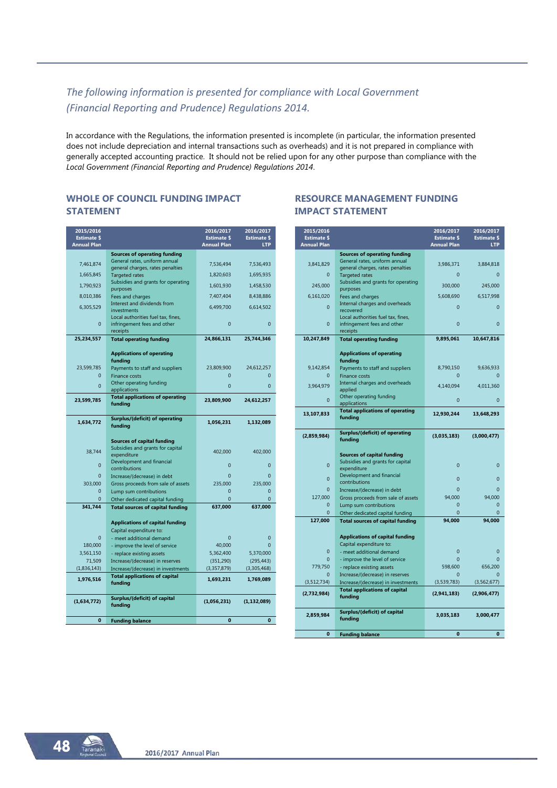# *The following information is presented for compliance with Local Government (Financial Reporting and Prudence) Regulations 2014.*

In accordance with the Regulations, the information presented is incomplete (in particular, the information presented does not include depreciation and internal transactions such as overheads) and it is not prepared in compliance with generally accepted accounting practice. It should not be relied upon for any other purpose than compliance with the *Local Government (Financial Reporting and Prudence) Regulations 2014*.

#### **WHOLE OF COUNCIL FUNDING IMPACT STATEMENT**

| 2015/2016<br><b>Estimate \$</b> |                                                                            | 2016/2017<br><b>Estimate \$</b> | 2016/2017<br><b>Estimate \$</b> |
|---------------------------------|----------------------------------------------------------------------------|---------------------------------|---------------------------------|
| <b>Annual Plan</b>              |                                                                            | <b>Annual Plan</b>              | <b>LTP</b>                      |
|                                 | <b>Sources of operating funding</b><br>General rates, uniform annual       |                                 |                                 |
| 7,461,874                       | general charges, rates penalties                                           | 7,536,494                       | 7,536,493                       |
| 1,665,845                       | <b>Targeted rates</b>                                                      | 1,820,603                       | 1,695,935                       |
| 1,790,923                       | Subsidies and grants for operating<br>purposes                             | 1,601,930                       | 1,458,530                       |
| 8,010,386                       | Fees and charges                                                           | 7,407,404                       | 8,438,886                       |
| 6,305,529                       | Interest and dividends from<br>investments                                 | 6,499,700                       | 6,614,502                       |
| $\overline{0}$                  | Local authorities fuel tax, fines,<br>infringement fees and other          | $\overline{0}$                  | $\overline{0}$                  |
|                                 | receipts                                                                   |                                 |                                 |
| 25,234,557                      | <b>Total operating funding</b>                                             | 24,866,131                      | 25,744,346                      |
|                                 |                                                                            |                                 |                                 |
|                                 | <b>Applications of operating</b>                                           |                                 |                                 |
| 23,599,785                      | funding<br>Payments to staff and suppliers                                 | 23,809,900                      | 24,612,257                      |
| $\overline{0}$                  | <b>Finance costs</b>                                                       | $\overline{0}$                  | $\mathbf{0}$                    |
| $\Omega$                        | Other operating funding                                                    | $\Omega$                        | $\Omega$                        |
|                                 | applications                                                               |                                 |                                 |
| 23,599,785                      | <b>Total applications of operating</b><br>funding                          | 23,809,900                      | 24,612,257                      |
|                                 |                                                                            |                                 |                                 |
| 1,634,772                       | Surplus/(deficit) of operating<br>funding                                  | 1,056,231                       | 1,132,089                       |
|                                 |                                                                            |                                 |                                 |
|                                 | <b>Sources of capital funding</b>                                          |                                 |                                 |
| 38,744                          | Subsidies and grants for capital<br>expenditure                            | 402,000                         | 402,000                         |
| $\overline{0}$                  | Development and financial<br>contributions                                 | $\overline{0}$                  | $\overline{0}$                  |
| $\overline{0}$                  | Increase/(decrease) in debt                                                | $\overline{0}$                  | $\overline{0}$                  |
| 303,000                         | Gross proceeds from sale of assets                                         | 235,000                         | 235,000                         |
| $\Omega$                        | Lump sum contributions                                                     | $\Omega$                        | $\overline{0}$                  |
| $\overline{0}$                  | Other dedicated capital funding                                            | $\overline{0}$                  | $\overline{0}$                  |
| 341,744                         | <b>Total sources of capital funding</b>                                    | 637,000                         | 637,000                         |
|                                 | <b>Applications of capital funding</b>                                     |                                 |                                 |
|                                 | Capital expenditure to:                                                    |                                 |                                 |
| $\overline{0}$                  | - meet additional demand                                                   | $\overline{0}$                  | $\overline{0}$                  |
| 180,000                         | - improve the level of service                                             | 40,000                          | $\Omega$                        |
| 3,561,150                       | - replace existing assets                                                  | 5,362,400                       | 5,370,000                       |
| 71,509                          | Increase/(decrease) in reserves                                            | (351, 290)                      | (295, 443)                      |
| (1,836,143)                     | Increase/(decrease) in investments<br><b>Total applications of capital</b> | (3,357,879)                     | (3,305,468)                     |
| 1,976,516                       | funding                                                                    | 1,693,231                       | 1,769,089                       |
|                                 | Surplus/(deficit) of capital                                               |                                 |                                 |
| (1,634,772)                     | funding                                                                    | (1,056,231)                     | (1, 132, 089)                   |
|                                 |                                                                            |                                 |                                 |
| $\mathbf{0}$                    | <b>Funding balance</b>                                                     | $\bf{0}$                        | 0                               |

## **RESOURCE MANAGEMENT FUNDING IMPACT STATEMENT**

| 2015/2016<br><b>Estimate \$</b> |                                                                   | 2016/2017<br><b>Estimate \$</b> | 2016/2017<br><b>Estimate \$</b> |
|---------------------------------|-------------------------------------------------------------------|---------------------------------|---------------------------------|
| <b>Annual Plan</b>              |                                                                   | <b>Annual Plan</b>              | <b>LTP</b>                      |
|                                 | <b>Sources of operating funding</b>                               |                                 |                                 |
| 3,841,829                       | General rates, uniform annual<br>general charges, rates penalties | 3,986,371                       | 3,884,818                       |
| 0                               | <b>Targeted rates</b>                                             | $\overline{0}$                  | $\mathbf{0}$                    |
|                                 | Subsidies and grants for operating                                |                                 |                                 |
| 245,000                         | purposes                                                          | 300,000                         | 245,000                         |
| 6,161,020                       | Fees and charges                                                  | 5,608,690                       | 6,517,998                       |
| $\Omega$                        | Internal charges and overheads<br>recovered                       | $\Omega$                        | $\overline{0}$                  |
|                                 | Local authorities fuel tax, fines,                                |                                 |                                 |
| $\overline{0}$                  | infringement fees and other                                       | $\overline{0}$                  | $\overline{0}$                  |
|                                 | receipts                                                          |                                 |                                 |
| 10,247,849                      | <b>Total operating funding</b>                                    | 9,895,061                       | 10,647,816                      |
|                                 |                                                                   |                                 |                                 |
|                                 | <b>Applications of operating</b><br>funding                       |                                 |                                 |
| 9,142,854                       | Payments to staff and suppliers                                   | 8,790,150                       | 9,636,933                       |
| $\mathbf{0}$                    | <b>Finance costs</b>                                              | $\mathbf{0}$                    | $\mathbf{0}$                    |
| 3,964,979                       | Internal charges and overheads                                    | 4,140,094                       | 4,011,360                       |
|                                 | applied<br>Other operating funding                                |                                 |                                 |
| $\mathbf{0}$                    | applications                                                      | $\overline{0}$                  | $\overline{0}$                  |
| 13,107,833                      | <b>Total applications of operating</b>                            | 12,930,244                      | 13,648,293                      |
|                                 | funding                                                           |                                 |                                 |
|                                 |                                                                   |                                 |                                 |
| (2,859,984)                     | Surplus/(deficit) of operating<br>funding                         | (3,035,183)                     | (3,000,477)                     |
|                                 |                                                                   |                                 |                                 |
|                                 | <b>Sources of capital funding</b>                                 |                                 |                                 |
| $\overline{0}$                  | Subsidies and grants for capital                                  | $\overline{0}$                  | $\overline{0}$                  |
|                                 | expenditure                                                       |                                 |                                 |
| $\overline{0}$                  | Development and financial<br>contributions                        | $\Omega$                        | $\overline{0}$                  |
| $\overline{0}$                  | Increase/(decrease) in debt                                       | $\Omega$                        | $\Omega$                        |
| 127,000                         | Gross proceeds from sale of assets                                | 94,000                          | 94,000                          |
| $\overline{0}$                  | Lump sum contributions                                            | $\overline{0}$                  | $\mathbf 0$                     |
| $\Omega$                        | Other dedicated capital funding                                   | $\Omega$                        | $\Omega$                        |
| 127,000                         | <b>Total sources of capital funding</b>                           | 94,000                          | 94,000                          |
|                                 |                                                                   |                                 |                                 |
|                                 | <b>Applications of capital funding</b><br>Capital expenditure to: |                                 |                                 |
| $\mathbf{0}$                    | - meet additional demand                                          | $\overline{0}$                  | $\mathbf{0}$                    |
| $\overline{0}$                  | - improve the level of service                                    | $\overline{0}$                  | $\overline{0}$                  |
| 779,750                         | - replace existing assets                                         | 598,600                         | 656,200                         |
| $\Omega$                        | Increase/(decrease) in reserves                                   | $\Omega$                        | $\Omega$                        |
| (3,512,734)                     | Increase/(decrease) in investments                                | (3,539,783)                     | (3,562,677)                     |
| (2,732,984)                     | <b>Total applications of capital</b>                              | (2,941,183)                     | (2,906,477)                     |
|                                 | funding                                                           |                                 |                                 |
|                                 | Surplus/(deficit) of capital                                      |                                 |                                 |
| 2,859,984                       | funding                                                           | 3,035,183                       | 3,000,477                       |
|                                 |                                                                   |                                 |                                 |
| $\bf{0}$                        | <b>Funding balance</b>                                            | $\mathbf{0}$                    | $\bf{0}$                        |

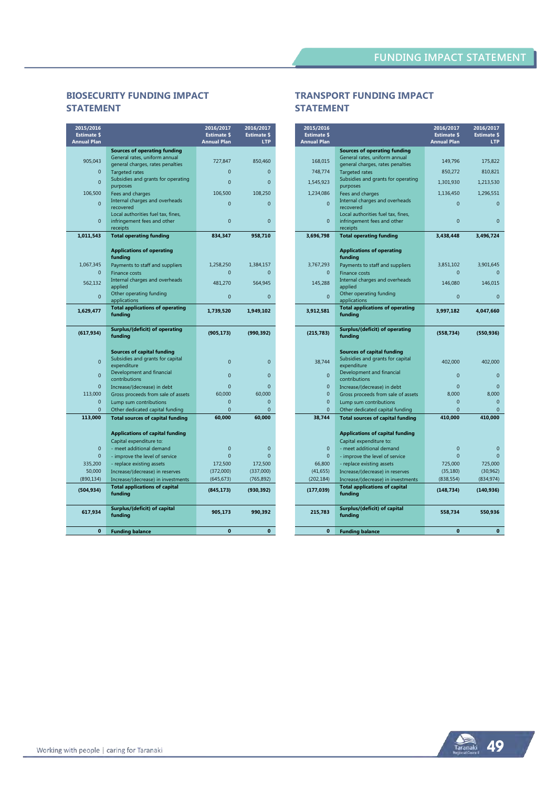# **BIOSECURITY FUNDING IMPACT STATEMENT**

| 2015/2016<br><b>Estimate \$</b><br><b>Annual Plan</b> |                                                           | 2016/2017<br><b>Estimate \$</b><br><b>Annual Plan</b> | 2016/2017<br><b>Estimate \$</b><br><b>LTP</b> |
|-------------------------------------------------------|-----------------------------------------------------------|-------------------------------------------------------|-----------------------------------------------|
|                                                       | <b>Sources of operating funding</b>                       |                                                       |                                               |
| 905,043                                               | General rates, uniform annual                             | 727,847                                               | 850,460                                       |
| $\Omega$                                              | general charges, rates penalties<br><b>Targeted rates</b> | $\Omega$                                              | $\Omega$                                      |
|                                                       | Subsidies and grants for operating                        |                                                       |                                               |
| $\overline{0}$                                        | purposes                                                  | $\overline{0}$                                        | $\overline{0}$                                |
| 106,500                                               | Fees and charges                                          | 106,500                                               | 108,250                                       |
| $\mathbf{0}$                                          | Internal charges and overheads<br>recovered               | $\overline{0}$                                        | $\overline{0}$                                |
|                                                       | Local authorities fuel tax, fines,                        |                                                       |                                               |
| $\Omega$                                              | infringement fees and other<br>receipts                   | $\overline{0}$                                        | $\overline{0}$                                |
| 1,011,543                                             | <b>Total operating funding</b>                            | 834,347                                               | 958,710                                       |
|                                                       |                                                           |                                                       |                                               |
|                                                       | <b>Applications of operating</b><br>funding               |                                                       |                                               |
| 1,067,345                                             | Payments to staff and suppliers                           | 1,258,250                                             | 1,384,157                                     |
| $\mathbf{0}$                                          | <b>Finance costs</b>                                      | $\mathbf{0}$                                          | $\overline{0}$                                |
| 562.132                                               | Internal charges and overheads<br>applied                 | 481.270                                               | 564.945                                       |
| $\mathbf{0}$                                          | Other operating funding                                   | $\overline{0}$                                        | $\overline{0}$                                |
|                                                       | applications                                              |                                                       |                                               |
| 1,629,477                                             | <b>Total applications of operating</b><br>funding         | 1,739,520                                             | 1,949,102                                     |
|                                                       |                                                           |                                                       |                                               |
| (617, 934)                                            | Surplus/(deficit) of operating<br>funding                 | (905, 173)                                            | (990, 392)                                    |
|                                                       |                                                           |                                                       |                                               |
|                                                       | <b>Sources of capital funding</b>                         |                                                       |                                               |
| $\mathbf{0}$                                          | Subsidies and grants for capital                          | $\overline{0}$                                        | $\overline{0}$                                |
|                                                       | expenditure<br>Development and financial                  |                                                       |                                               |
| $\Omega$                                              | contributions                                             | $\Omega$                                              | $\overline{0}$                                |
| $\Omega$                                              | Increase/(decrease) in debt                               | $\Omega$                                              | $\mathbf 0$                                   |
| 113,000                                               | Gross proceeds from sale of assets                        | 60,000                                                | 60,000                                        |
| $\Omega$                                              | Lump sum contributions                                    | $\overline{0}$                                        | $\overline{0}$                                |
| $\mathbf{0}$<br>113,000                               | Other dedicated capital funding                           | $\overline{0}$<br>60,000                              | $\Omega$<br>60,000                            |
|                                                       | <b>Total sources of capital funding</b>                   |                                                       |                                               |
|                                                       | <b>Applications of capital funding</b>                    |                                                       |                                               |
|                                                       | Capital expenditure to:                                   |                                                       |                                               |
| $\Omega$                                              | - meet additional demand                                  | $\overline{0}$                                        | $\overline{0}$                                |
| $\mathbf{0}$                                          | - improve the level of service                            | $\overline{0}$                                        | $\overline{0}$                                |
| 335,200                                               | - replace existing assets                                 | 172,500                                               | 172,500                                       |
| 50.000                                                | Increase/(decrease) in reserves                           | (372,000)                                             | (337,000)                                     |
| (890, 134)                                            | Increase/(decrease) in investments                        | (645, 673)                                            | (765, 892)                                    |
| (504, 934)                                            | <b>Total applications of capital</b><br>funding           | (845, 173)                                            | (930, 392)                                    |
|                                                       | Surplus/(deficit) of capital                              |                                                       |                                               |
| 617,934                                               | funding                                                   | 905,173                                               | 990,392                                       |
|                                                       |                                                           |                                                       |                                               |
| $\mathbf{0}$                                          | <b>Funding balance</b>                                    | $\mathbf{0}$                                          | $\bf{0}$                                      |

## **TRANSPORT FUNDING IMPACT STATEMENT**

| 2015/2016<br><b>Estimate \$</b><br><b>Annual Plan</b> |                                                                                      | 2016/2017<br><b>Estimate \$</b><br><b>Annual Plan</b> | 2016/2017<br><b>Estimate \$</b><br><b>LTP</b> |
|-------------------------------------------------------|--------------------------------------------------------------------------------------|-------------------------------------------------------|-----------------------------------------------|
|                                                       | <b>Sources of operating funding</b>                                                  |                                                       |                                               |
| 168,015                                               | General rates, uniform annual<br>general charges, rates penalties                    | 149,796                                               | 175,822                                       |
| 748,774                                               | <b>Targeted rates</b>                                                                | 850,272                                               | 810,821                                       |
| 1,545,923                                             | Subsidies and grants for operating                                                   | 1,301,930                                             | 1,213,530                                     |
| 1,234,086                                             | purposes<br>Fees and charges                                                         | 1,136,450                                             | 1,296,551                                     |
| $\overline{0}$                                        | Internal charges and overheads<br>recovered                                          | $\overline{0}$                                        | $\overline{0}$                                |
|                                                       | Local authorities fuel tax, fines,                                                   |                                                       |                                               |
| $\mathbf{0}$                                          | infringement fees and other<br>receipts                                              | $\overline{0}$                                        | $\overline{0}$                                |
| 3,696,798                                             | <b>Total operating funding</b>                                                       | 3,438,448                                             | 3,496,724                                     |
|                                                       | <b>Applications of operating</b><br>funding                                          |                                                       |                                               |
| 3,767,293                                             | Payments to staff and suppliers                                                      | 3,851,102                                             | 3,901,645                                     |
| $\mathbf{0}$                                          | <b>Finance costs</b>                                                                 | $\mathbf{0}$                                          | $\mathbf{0}$                                  |
| 145.288                                               | Internal charges and overheads<br>applied                                            | 146.080                                               | 146,015                                       |
| $\Omega$                                              | Other operating funding<br>applications                                              | $\overline{0}$                                        | $\overline{0}$                                |
| 3,912,581                                             | <b>Total applications of operating</b><br>funding                                    | 3,997,182                                             | 4,047,660                                     |
| (215, 783)                                            | <b>Surplus/(deficit) of operating</b><br>funding                                     | (558, 734)                                            | (550, 936)                                    |
| 38,744                                                | <b>Sources of capital funding</b><br>Subsidies and grants for capital<br>expenditure | 402,000                                               | 402,000                                       |
| $\overline{0}$                                        | Development and financial<br>contributions                                           | $\overline{0}$                                        | $\overline{0}$                                |
| $\overline{0}$                                        | Increase/(decrease) in debt                                                          | $\Omega$                                              | $\Omega$                                      |
| 0                                                     | Gross proceeds from sale of assets                                                   | 8.000                                                 | 8.000                                         |
| $\overline{0}$                                        | Lump sum contributions                                                               | $\overline{0}$                                        | $\mathbf{0}$                                  |
| 0                                                     | Other dedicated capital funding                                                      | $\Omega$                                              | $\Omega$                                      |
| 38,744                                                | <b>Total sources of capital funding</b>                                              | 410,000                                               | 410,000                                       |
|                                                       | <b>Applications of capital funding</b>                                               |                                                       |                                               |
|                                                       | Capital expenditure to:                                                              |                                                       |                                               |
| $\mathbf{0}$                                          | - meet additional demand                                                             | $\overline{0}$                                        | $\overline{0}$                                |
| $\overline{0}$<br>66,800                              | - improve the level of service                                                       | $\overline{0}$<br>725,000                             | $\Omega$<br>725,000                           |
| (41, 655)                                             | - replace existing assets<br>Increase/(decrease) in reserves                         | (35, 180)                                             | (30, 962)                                     |
| (202, 184)                                            | Increase/(decrease) in investments                                                   | (838, 554)                                            | (834, 974)                                    |
| (177, 039)                                            | <b>Total applications of capital</b><br>funding                                      | (148, 734)                                            | (140, 936)                                    |
| 215,783                                               | Surplus/(deficit) of capital<br>funding                                              | 558,734                                               | 550,936                                       |
| $\bf{0}$                                              | <b>Funding balance</b>                                                               | $\mathbf{0}$                                          | $\bf{0}$                                      |

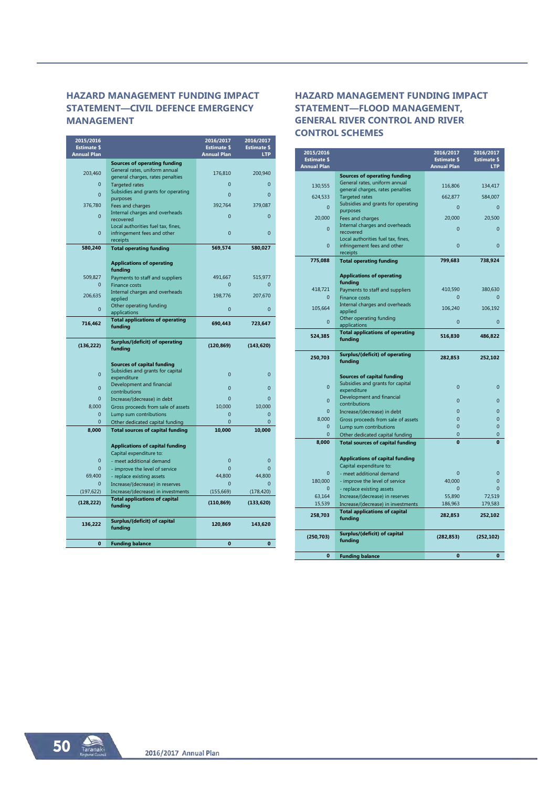# **HAZARD MANAGEMENT FUNDING IMPACT STATEMENT—CIVIL DEFENCE EMERGENCY MANAGEMENT**

| 2015/2016<br><b>Estimate \$</b><br><b>Annual Plan</b> |                                                                            | 2016/2017<br><b>Estimate \$</b><br><b>Annual Plan</b> | 2016/2017<br><b>Estimate \$</b><br><b>LTP</b> |
|-------------------------------------------------------|----------------------------------------------------------------------------|-------------------------------------------------------|-----------------------------------------------|
|                                                       | <b>Sources of operating funding</b>                                        |                                                       |                                               |
| 203,460                                               | General rates, uniform annual                                              | 176,810                                               | 200,940                                       |
| $\mathbf{0}$                                          | general charges, rates penalties                                           | $\Omega$                                              | $\overline{0}$                                |
|                                                       | <b>Targeted rates</b><br>Subsidies and grants for operating                |                                                       |                                               |
| $\overline{0}$                                        | purposes                                                                   | $\overline{0}$                                        | $\overline{0}$                                |
| 376,780                                               | Fees and charges                                                           | 392.764                                               | 379,087                                       |
| $\mathbf{0}$                                          | Internal charges and overheads                                             | $\Omega$                                              | $\overline{0}$                                |
|                                                       | recovered<br>Local authorities fuel tax, fines,                            |                                                       |                                               |
| $\mathbf{0}$                                          | infringement fees and other                                                | $\overline{0}$                                        | $\overline{0}$                                |
|                                                       | receipts                                                                   |                                                       |                                               |
| 580,240                                               | <b>Total operating funding</b>                                             | 569,574                                               | 580,027                                       |
|                                                       | <b>Applications of operating</b><br>funding                                |                                                       |                                               |
| 509.827                                               | Payments to staff and suppliers                                            | 491.667                                               | 515.977                                       |
| $\Omega$                                              | Finance costs                                                              | $\Omega$                                              | $\Omega$                                      |
| 206,635                                               | Internal charges and overheads                                             | 198,776                                               | 207,670                                       |
|                                                       | applied<br>Other operating funding                                         |                                                       |                                               |
| $\Omega$                                              | applications                                                               | $\Omega$                                              | $\Omega$                                      |
| 716,462                                               | <b>Total applications of operating</b><br>funding                          | 690,443                                               | 723,647                                       |
| (136, 222)                                            | Surplus/(deficit) of operating                                             | (120, 869)                                            | (143, 620)                                    |
|                                                       | funding                                                                    |                                                       |                                               |
|                                                       | <b>Sources of capital funding</b>                                          |                                                       |                                               |
| $\mathbf{0}$                                          | Subsidies and grants for capital                                           | $\overline{0}$                                        | $\overline{0}$                                |
|                                                       | expenditure                                                                |                                                       |                                               |
| $\overline{0}$                                        | Development and financial<br>contributions                                 | $\overline{0}$                                        | $\overline{0}$                                |
| $\Omega$                                              | Increase/(decrease) in debt                                                | $\Omega$                                              | $\Omega$                                      |
| 8,000                                                 | Gross proceeds from sale of assets                                         | 10,000                                                | 10,000                                        |
| $\Omega$                                              | Lump sum contributions                                                     | $\Omega$                                              | $\Omega$                                      |
| $\mathbf{0}$                                          | Other dedicated capital funding                                            | $\Omega$                                              | $\Omega$                                      |
| 8,000                                                 | <b>Total sources of capital funding</b>                                    | 10,000                                                | 10,000                                        |
|                                                       | <b>Applications of capital funding</b>                                     |                                                       |                                               |
|                                                       | Capital expenditure to:                                                    |                                                       |                                               |
| $\mathbf{0}$                                          | - meet additional demand                                                   | $\overline{0}$                                        | $\overline{0}$                                |
| $\Omega$                                              | - improve the level of service                                             | $\Omega$                                              | $\Omega$                                      |
| 69,400                                                | - replace existing assets                                                  | 44,800                                                | 44,800                                        |
| $\Omega$                                              | Increase/(decrease) in reserves                                            | $\Omega$                                              | $\Omega$                                      |
| (197, 622)                                            | Increase/(decrease) in investments<br><b>Total applications of capital</b> | (155, 669)                                            | (178, 420)                                    |
| (128, 222)                                            | funding                                                                    | (110, 869)                                            | (133, 620)                                    |
| 136,222                                               | Surplus/(deficit) of capital<br>funding                                    | 120,869                                               | 143,620                                       |
| $\bf{0}$                                              | <b>Funding balance</b>                                                     | $\mathbf 0$                                           | $\bf{0}$                                      |
|                                                       |                                                                            |                                                       |                                               |

# **HAZARD MANAGEMENT FUNDING IMPACT STATEMENT—FLOOD MANAGEMENT, GENERAL RIVER CONTROL AND RIVER CONTROL SCHEMES**

| 2015/2016<br><b>Estimate \$</b> |                                                                   | 2016/2017<br><b>Estimate \$</b> | 2016/2017<br><b>Estimate \$</b> |
|---------------------------------|-------------------------------------------------------------------|---------------------------------|---------------------------------|
| <b>Annual Plan</b>              |                                                                   | <b>Annual Plan</b>              | <b>LTP</b>                      |
|                                 | <b>Sources of operating funding</b>                               |                                 |                                 |
| 130.555                         | General rates, uniform annual<br>general charges, rates penalties | 116,806                         | 134,417                         |
| 624,533                         | <b>Targeted rates</b>                                             | 662,877                         | 584,007                         |
| $\Omega$                        | Subsidies and grants for operating                                | $\overline{0}$                  | $\overline{0}$                  |
|                                 | purposes                                                          |                                 |                                 |
| 20,000                          | Fees and charges                                                  | 20,000                          | 20,500                          |
| $\Omega$                        | Internal charges and overheads<br>recovered                       | $\overline{0}$                  | $\Omega$                        |
|                                 | Local authorities fuel tax, fines,                                |                                 |                                 |
| $\Omega$                        | infringement fees and other                                       | $\Omega$                        | $\Omega$                        |
|                                 | receipts                                                          |                                 |                                 |
| 775,088                         | <b>Total operating funding</b>                                    | 799,683                         | 738,924                         |
|                                 | <b>Applications of operating</b>                                  |                                 |                                 |
| 418,721                         | funding<br>Payments to staff and suppliers                        | 410,590                         | 380,630                         |
| $\overline{0}$                  | <b>Finance costs</b>                                              | $\mathbf 0$                     | $\overline{0}$                  |
| 105.664                         | Internal charges and overheads                                    | 106.240                         | 106.192                         |
|                                 | applied                                                           |                                 |                                 |
| $\mathbf{0}$                    | Other operating funding<br>applications                           | $\mathbf{0}$                    | $\overline{0}$                  |
|                                 | <b>Total applications of operating</b>                            |                                 |                                 |
| 524,385                         | funding                                                           | 516,830                         | 486,822                         |
|                                 |                                                                   |                                 |                                 |
| 250,703                         | <b>Surplus/(deficit) of operating</b>                             | 282,853                         | 252,102                         |
|                                 | funding                                                           |                                 |                                 |
|                                 | <b>Sources of capital funding</b>                                 |                                 |                                 |
|                                 | Subsidies and grants for capital                                  |                                 |                                 |
| $\overline{0}$                  | expenditure                                                       | $\overline{0}$                  | $\overline{0}$                  |
| $\mathbf{0}$                    | Development and financial                                         | $\overline{0}$                  | $\overline{0}$                  |
| $\mathbf{0}$                    | contributions<br>Increase/(decrease) in debt                      | $\overline{0}$                  | $\overline{0}$                  |
| 8,000                           | Gross proceeds from sale of assets                                | $\overline{0}$                  | $\overline{0}$                  |
| $\mathbf{0}$                    | Lump sum contributions                                            | $\overline{0}$                  | $\overline{0}$                  |
| $\mathbf{0}$                    | Other dedicated capital funding                                   | $\overline{0}$                  | $\mathbf{0}$                    |
| 8,000                           | <b>Total sources of capital funding</b>                           | $\Omega$                        | Ō                               |
|                                 |                                                                   |                                 |                                 |
|                                 | <b>Applications of capital funding</b>                            |                                 |                                 |
| $\mathbf{0}$                    | Capital expenditure to:<br>- meet additional demand               | $\overline{0}$                  | $\mathbf{0}$                    |
| 180.000                         | - improve the level of service                                    | 40,000                          | $\Omega$                        |
| $\overline{0}$                  | - replace existing assets                                         | $\Omega$                        | $\Omega$                        |
| 63,164                          | Increase/(decrease) in reserves                                   | 55,890                          | 72,519                          |
| 15,539                          | Increase/(decrease) in investments                                | 186,963                         | 179,583                         |
| 258,703                         | <b>Total applications of capital</b>                              | 282,853                         | 252,102                         |
|                                 | funding                                                           |                                 |                                 |
|                                 | Surplus/(deficit) of capital                                      |                                 |                                 |
| (250, 703)                      | funding                                                           | (282, 853)                      | (252, 102)                      |
|                                 |                                                                   |                                 |                                 |
| $\bf{0}$                        | <b>Funding balance</b>                                            | $\mathbf{0}$                    | $\bf{0}$                        |